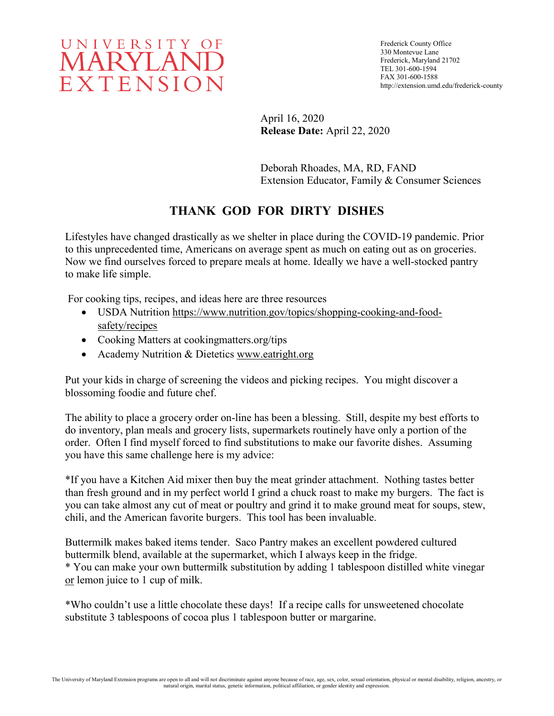

Frederick County Office 330 Montevue Lane Frederick, Maryland 21702 TEL 301-600-1594 FAX 301-600-1588 http://extension.umd.edu/frederick-county

April 16, 2020 **Release Date:** April 22, 2020

Deborah Rhoades, MA, RD, FAND Extension Educator, Family & Consumer Sciences

## **THANK GOD FOR DIRTY DISHES**

Lifestyles have changed drastically as we shelter in place during the COVID-19 pandemic. Prior to this unprecedented time, Americans on average spent as much on eating out as on groceries. Now we find ourselves forced to prepare meals at home. Ideally we have a well-stocked pantry to make life simple.

For cooking tips, recipes, and ideas here are three resources

- USDA Nutrition [https://www.nutrition.gov/topics/shopping-cooking-and-food](https://www.nutrition.gov/topics/shopping-cooking-and-food-safety/recipes)[safety/recipes](https://www.nutrition.gov/topics/shopping-cooking-and-food-safety/recipes)
- Cooking Matters at cookingmatters.org/tips
- Academy Nutrition & Dietetics [www.eatright.org](http://www.eatright.org/)

Put your kids in charge of screening the videos and picking recipes. You might discover a blossoming foodie and future chef.

The ability to place a grocery order on-line has been a blessing. Still, despite my best efforts to do inventory, plan meals and grocery lists, supermarkets routinely have only a portion of the order. Often I find myself forced to find substitutions to make our favorite dishes. Assuming you have this same challenge here is my advice:

\*If you have a Kitchen Aid mixer then buy the meat grinder attachment. Nothing tastes better than fresh ground and in my perfect world I grind a chuck roast to make my burgers. The fact is you can take almost any cut of meat or poultry and grind it to make ground meat for soups, stew, chili, and the American favorite burgers. This tool has been invaluable.

Buttermilk makes baked items tender. Saco Pantry makes an excellent powdered cultured buttermilk blend, available at the supermarket, which I always keep in the fridge. \* You can make your own buttermilk substitution by adding 1 tablespoon distilled white vinegar or lemon juice to 1 cup of milk.

\*Who couldn't use a little chocolate these days! If a recipe calls for unsweetened chocolate substitute 3 tablespoons of cocoa plus 1 tablespoon butter or margarine.